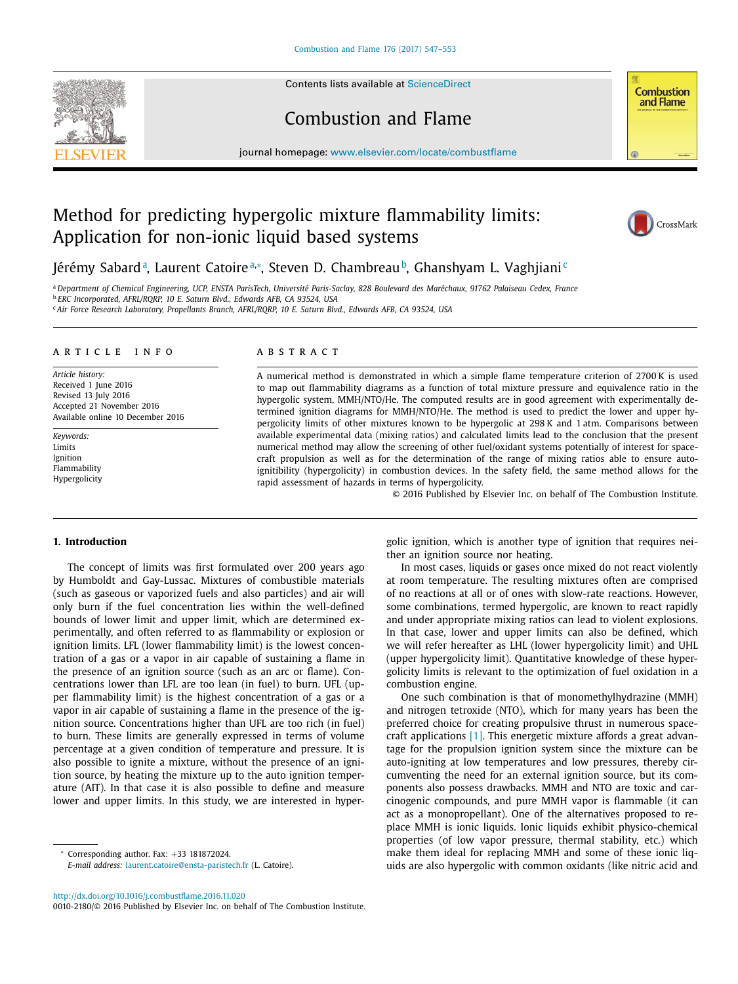Contents lists available at [ScienceDirect](http://www.ScienceDirect.com)







# Method for predicting hypergolic mixture flammability limits: Application for non-ionic liquid based systems



**Combustion** and Flame

Jérémy Sabard<sup>a</sup> , Laurent Catoirea,<sup>∗</sup> , Steven D. Chambreau<sup>b</sup> , Ghanshyam L. Vaghjiani <sup>c</sup>

<sup>a</sup> Department of Chemical Engineering, UCP, ENSTA ParisTech, Université Paris-Saclay, 828 Boulevard des Maréchaux, 91762 Palaiseau Cedex, France <sup>b</sup> *ERC Incorporated, AFRL/RQRP, 10 E. Saturn Blvd., Edwards AFB, CA 93524, USA*

<sup>c</sup> *Air Force Research Laboratory, Propellants Branch, AFRL/RQRP, 10 E. Saturn Blvd., Edwards AFB, CA 93524, USA*

#### a r t i c l e i n f o

*Article history:* Received 1 June 2016 Revised 13 July 2016 Accepted 21 November 2016 Available online 10 December 2016

*Keywords:* Limits Ignition Flammability Hypergolicity

## A B S T R A C T

A numerical method is demonstrated in which a simple flame temperature criterion of 2700 K is used to map out flammability diagrams as a function of total mixture pressure and equivalence ratio in the hypergolic system, MMH/NTO/He. The computed results are in good agreement with experimentally determined ignition diagrams for MMH/NTO/He. The method is used to predict the lower and upper hypergolicity limits of other mixtures known to be hypergolic at 298 K and 1 atm. Comparisons between available experimental data (mixing ratios) and calculated limits lead to the conclusion that the present numerical method may allow the screening of other fuel/oxidant systems potentially of interest for spacecraft propulsion as well as for the determination of the range of mixing ratios able to ensure autoignitibility (hypergolicity) in combustion devices. In the safety field, the same method allows for the rapid assessment of hazards in terms of hypergolicity.

© 2016 Published by Elsevier Inc. on behalf of The Combustion Institute.

# **1. Introduction**

The concept of limits was first formulated over 200 years ago by Humboldt and Gay-Lussac. Mixtures of combustible materials (such as gaseous or vaporized fuels and also particles) and air will only burn if the fuel concentration lies within the well-defined bounds of lower limit and upper limit, which are determined experimentally, and often referred to as flammability or explosion or ignition limits. LFL (lower flammability limit) is the lowest concentration of a gas or a vapor in air capable of sustaining a flame in the presence of an ignition source (such as an arc or flame). Concentrations lower than LFL are too lean (in fuel) to burn. UFL (upper flammability limit) is the highest concentration of a gas or a vapor in air capable of sustaining a flame in the presence of the ignition source. Concentrations higher than UFL are too rich (in fuel) to burn. These limits are generally expressed in terms of volume percentage at a given condition of temperature and pressure. It is also possible to ignite a mixture, without the presence of an ignition source, by heating the mixture up to the auto ignition temperature (AIT). In that case it is also possible to define and measure lower and upper limits. In this study, we are interested in hyper-

*E-mail address:* [laurent.catoire@ensta-paristech.fr](mailto:laurent.catoire@ensta-paristech.fr) (L. Catoire).

<http://dx.doi.org/10.1016/j.combustflame.2016.11.020>

0010-2180/© 2016 Published by Elsevier Inc. on behalf of The Combustion Institute.

golic ignition, which is another type of ignition that requires neither an ignition source nor heating.

In most cases, liquids or gases once mixed do not react violently at room temperature. The resulting mixtures often are comprised of no reactions at all or of ones with slow-rate reactions. However, some combinations, termed hypergolic, are known to react rapidly and under appropriate mixing ratios can lead to violent explosions. In that case, lower and upper limits can also be defined, which we will refer hereafter as LHL (lower hypergolicity limit) and UHL (upper hypergolicity limit). Quantitative knowledge of these hypergolicity limits is relevant to the optimization of fuel oxidation in a combustion engine.

One such combination is that of monomethylhydrazine (MMH) and nitrogen tetroxide (NTO), which for many years has been the preferred choice for creating propulsive thrust in numerous spacecraft applications [\[1\].](#page--1-0) This energetic mixture affords a great advantage for the propulsion ignition system since the mixture can be auto-igniting at low temperatures and low pressures, thereby circumventing the need for an external ignition source, but its components also possess drawbacks. MMH and NTO are toxic and carcinogenic compounds, and pure MMH vapor is flammable (it can act as a monopropellant). One of the alternatives proposed to replace MMH is ionic liquids. Ionic liquids exhibit physico-chemical properties (of low vapor pressure, thermal stability, etc.) which make them ideal for replacing MMH and some of these ionic liquids are also hypergolic with common oxidants (like nitric acid and

Corresponding author. Fax:  $+33$  181872024.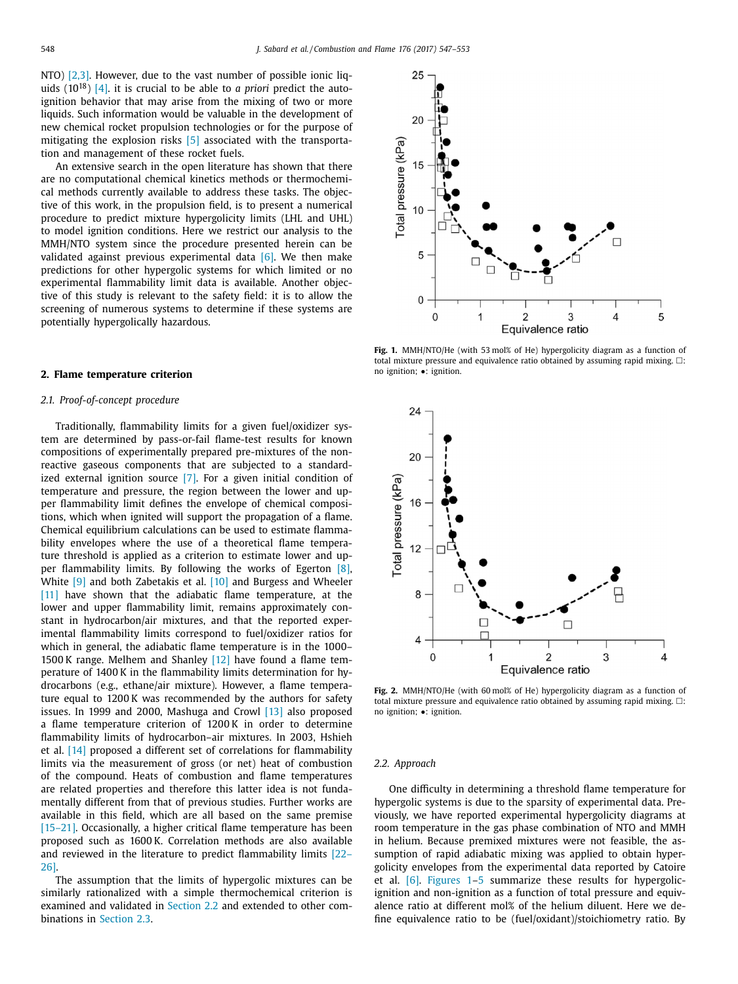NTO) [\[2,3\].](#page--1-0) However, due to the vast number of possible ionic liquids (1018) [\[4\].](#page--1-0) it is crucial to be able to *a priori* predict the autoignition behavior that may arise from the mixing of two or more liquids. Such information would be valuable in the development of new chemical rocket propulsion technologies or for the purpose of mitigating the explosion risks [\[5\]](#page--1-0) associated with the transportation and management of these rocket fuels.

An extensive search in the open literature has shown that there are no computational chemical kinetics methods or thermochemical methods currently available to address these tasks. The objective of this work, in the propulsion field, is to present a numerical procedure to predict mixture hypergolicity limits (LHL and UHL) to model ignition conditions. Here we restrict our analysis to the MMH/NTO system since the procedure presented herein can be validated against previous experimental data  $[6]$ . We then make predictions for other hypergolic systems for which limited or no experimental flammability limit data is available. Another objective of this study is relevant to the safety field: it is to allow the screening of numerous systems to determine if these systems are potentially hypergolically hazardous.

# **2. Flame temperature criterion**

## *2.1. Proof-of-concept procedure*

Traditionally, flammability limits for a given fuel/oxidizer system are determined by pass-or-fail flame-test results for known compositions of experimentally prepared pre-mixtures of the nonreactive gaseous components that are subjected to a standardized external ignition source  $[7]$ . For a given initial condition of temperature and pressure, the region between the lower and upper flammability limit defines the envelope of chemical compositions, which when ignited will support the propagation of a flame. Chemical equilibrium calculations can be used to estimate flammability envelopes where the use of a theoretical flame temperature threshold is applied as a criterion to estimate lower and upper flammability limits. By following the works of Egerton  $[8]$ , White [\[9\]](#page--1-0) and both Zabetakis et al. [\[10\]](#page--1-0) and Burgess and Wheeler [\[11\]](#page--1-0) have shown that the adiabatic flame temperature, at the lower and upper flammability limit, remains approximately constant in hydrocarbon/air mixtures, and that the reported experimental flammability limits correspond to fuel/oxidizer ratios for which in general, the adiabatic flame temperature is in the 1000– 1500 K range. Melhem and Shanley [\[12\]](#page--1-0) have found a flame temperature of 1400 K in the flammability limits determination for hydrocarbons (e.g., ethane/air mixture). However, a flame temperature equal to 1200 K was recommended by the authors for safety issues. In 1999 and 2000, Mashuga and Crowl [\[13\]](#page--1-0) also proposed a flame temperature criterion of 1200 K in order to determine flammability limits of hydrocarbon–air mixtures. In 2003, Hshieh et al. [\[14\]](#page--1-0) proposed a different set of correlations for flammability limits via the measurement of gross (or net) heat of combustion of the compound. Heats of combustion and flame temperatures are related properties and therefore this latter idea is not fundamentally different from that of previous studies. Further works are available in this field, which are all based on the same premise [\[15–21\].](#page--1-0) Occasionally, a higher critical flame temperature has been proposed such as 1600 K. Correlation methods are also available and reviewed in the literature to predict [flammability](#page--1-0) limits [22– 26].

The assumption that the limits of hypergolic mixtures can be similarly rationalized with a simple thermochemical criterion is examined and validated in Section 2.2 and extended to other combinations in [Section](#page--1-0) 2.3.



**Fig. 1.** MMH/NTO/He (with 53 mol% of He) hypergolicity diagram as a function of total mixture pressure and equivalence ratio obtained by assuming rapid mixing.  $\Box$ : no ignition; ●: ignition.



**Fig. 2.** MMH/NTO/He (with 60 mol% of He) hypergolicity diagram as a function of total mixture pressure and equivalence ratio obtained by assuming rapid mixing.  $\Box$ : no ignition; ●: ignition.

### *2.2. Approach*

One difficulty in determining a threshold flame temperature for hypergolic systems is due to the sparsity of experimental data. Previously, we have reported experimental hypergolicity diagrams at room temperature in the gas phase combination of NTO and MMH in helium. Because premixed mixtures were not feasible, the assumption of rapid adiabatic mixing was applied to obtain hypergolicity envelopes from the experimental data reported by Catoire et al. [\[6\].](#page--1-0) Figures 1[–5](#page--1-0) summarize these results for hypergolicignition and non-ignition as a function of total pressure and equivalence ratio at different mol% of the helium diluent. Here we define equivalence ratio to be (fuel/oxidant)/stoichiometry ratio. By